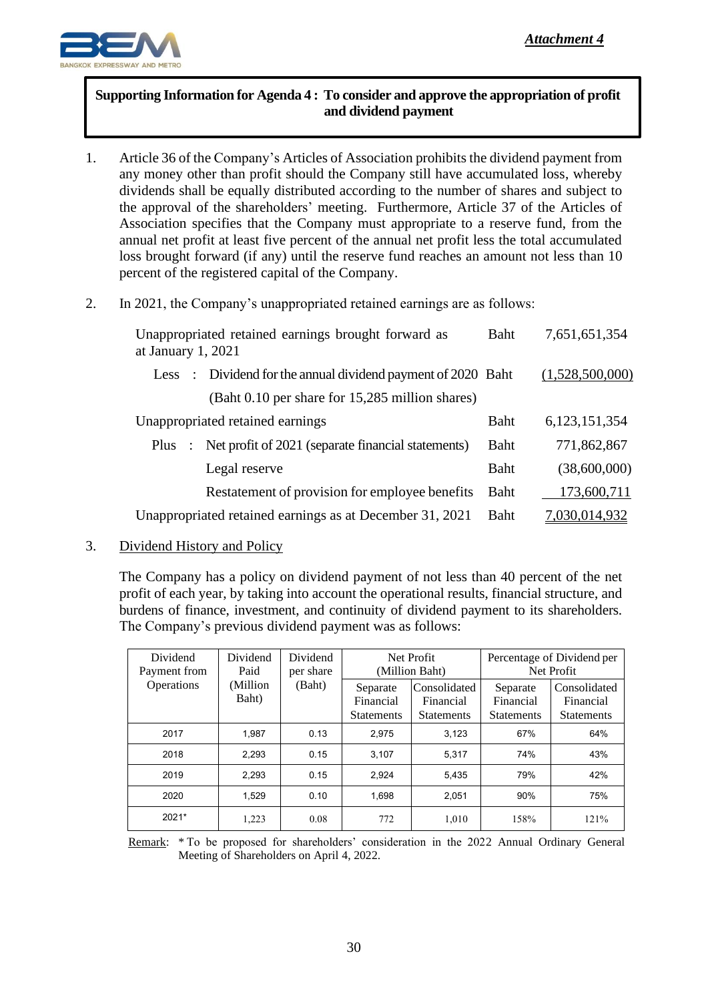

## **Supporting Information for Agenda 4 : To consider and approve the appropriation of profit and dividend payment**

- 1. Article 36 of the Company's Articles of Association prohibits the dividend payment from any money other than profit should the Company still have accumulated loss, whereby dividends shall be equally distributed according to the number of shares and subject to the approval of the shareholders' meeting. Furthermore, Article 37 of the Articles of Association specifies that the Company must appropriate to a reserve fund, from the annual net profit at least five percent of the annual net profit less the total accumulated loss brought forward (if any) until the reserve fund reaches an amount not less than 10 percent of the registered capital of the Company.
- 2. In 2021, the Company's unappropriated retained earnings are as follows:

| Unappropriated retained earnings brought forward as<br>at January 1, 2021 |                                                                    |             | 7,651,651,354   |
|---------------------------------------------------------------------------|--------------------------------------------------------------------|-------------|-----------------|
| Less                                                                      | $\therefore$ Dividend for the annual dividend payment of 2020 Baht |             | (1,528,500,000) |
|                                                                           | (Baht 0.10 per share for 15,285 million shares)                    |             |                 |
| Unappropriated retained earnings                                          |                                                                    |             | 6,123,151,354   |
| <b>Plus</b><br>$\cdot$ :                                                  | Net profit of 2021 (separate financial statements)                 | <b>Baht</b> | 771,862,867     |
|                                                                           | Legal reserve                                                      | Baht        | (38,600,000)    |
|                                                                           | Restatement of provision for employee benefits                     | Baht        | 173,600,711     |
| Unappropriated retained earnings as at December 31, 2021                  |                                                                    | <b>Baht</b> | 7,030,014,932   |

3. Dividend History and Policy

The Company has a policy on dividend payment of not less than 40 percent of the net profit of each year, by taking into account the operational results, financial structure, and burdens of finance, investment, and continuity of dividend payment to its shareholders. The Company's previous dividend payment was as follows:

| Dividend<br>Payment from | Dividend<br>Paid  | Dividend<br>per share<br>(Baht) | Net Profit<br>(Million Baht)               |                                                | Percentage of Dividend per<br>Net Profit   |                                                |
|--------------------------|-------------------|---------------------------------|--------------------------------------------|------------------------------------------------|--------------------------------------------|------------------------------------------------|
| <b>Operations</b>        | (Million<br>Baht) |                                 | Separate<br>Financial<br><b>Statements</b> | Consolidated<br>Financial<br><b>Statements</b> | Separate<br>Financial<br><b>Statements</b> | Consolidated<br>Financial<br><b>Statements</b> |
| 2017                     | 1.987             | 0.13                            | 2.975                                      | 3.123                                          | 67%                                        | 64%                                            |
| 2018                     | 2.293             | 0.15                            | 3.107                                      | 5.317                                          | 74%                                        | 43%                                            |
| 2019                     | 2.293             | 0.15                            | 2.924                                      | 5,435                                          | 79%                                        | 42%                                            |
| 2020                     | 1.529             | 0.10                            | 1.698                                      | 2.051                                          | 90%                                        | 75%                                            |
| 2021*                    | 1,223             | 0.08                            | 772                                        | 1,010                                          | 158%                                       | 121%                                           |

Remark: \* To be proposed for shareholders' consideration in the 2022 Annual Ordinary General Meeting of Shareholders on April 4, 2022.